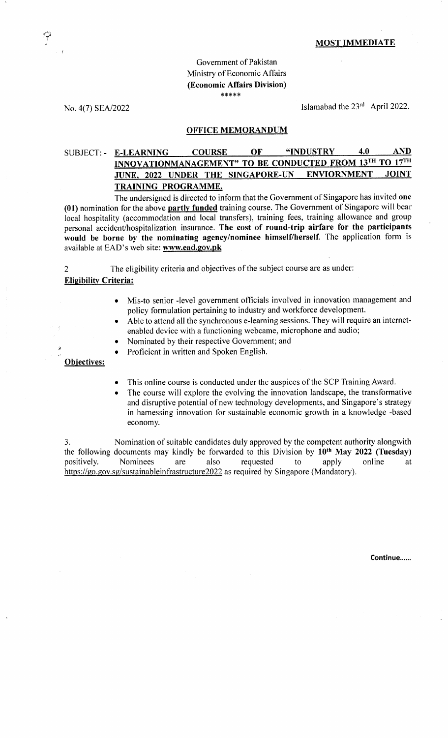### MOST IMMEDIATE

# Govemment of Pakistan Ministry of Economic Affairs (Economic Affairs Division)  $* * * * *$

No. 4(7) SEA/2022

Islamabad the 23<sup>rd</sup> April 2022.

#### OFFICE MEMORANDUM

## SUBJECT: - E-LEARNING COURSE OF "INDUSTRY 4.0 AND INNOVATIONMANAGEMENT" TO BE CONDUCTED FROM 13TH TO 17TH JUNE. 2022 UNDER THE SINGAPORE.UN ENVIORNMENT JOINT TRAINING PROGRAMME.

The undersigned is directed to inform that the Government of Singapore has invited one (01) nomination for the above partly funded training course. The Government of Singapore will bear local hospitality (accommodation and local transfers), training fees, training allowance and group personal accident/hospitalization insurance. The cost of round-trip airfare for the participants would be borne by the nominating agency/nominee himself/herself. The application form is available at EAD's web site: www.ead.gov.pk

2 The eligibility criteria and objectives of the subject course are as under: **Eligibility Criteria:** 

- Mis-to senior -level government officials involved in innovation management and
- policy formulation pertaining to industry and workforce development.<br>
Able to attend all the synchronous e-learning sessions. They will requi<br>
enabled device with a functioning webcame, microphone and audio;<br>
Nominated by ire an internetenabled device with a functioning webcame, microphone and audio;<br>Nominated by their respective Government; and
- 
- Proficient in written and Spoken English.

# Obiectives:

- This online course is conducted under the auspices of the SCP Training Award.
- The course will explore the evolving the innovation landscape, the transformative and disruptive potential of new technology developments, and Singapore's strategy in hamessing innovation for sustainable economic growth in a knowledge -based economy.

3. Nomination of suitable candidates duly approved by the competent authority alongwith the following documents may kindly be forwarded to this Division by  $10<sup>th</sup>$  May 2022 (Tuesday) positively. Nominees are also requested to apply online at https://go.gov.sg/sustainableinfrastructure2022 as required by Singapore (Mandatory).

Continue......